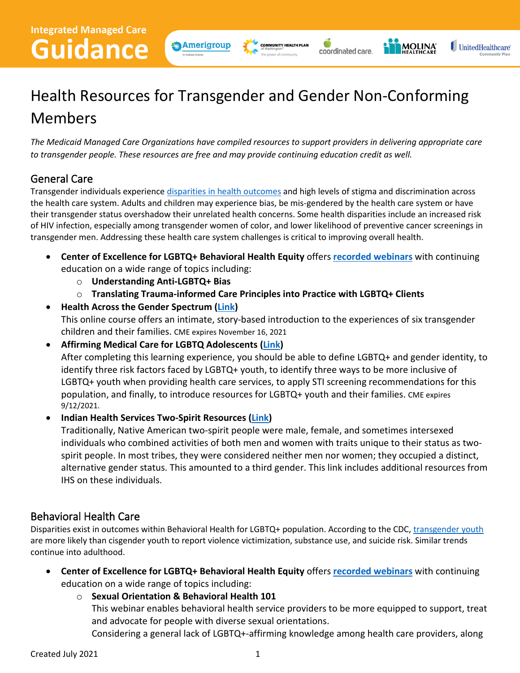

**COMMUNITY HEALTH PLAN** The power of community

Ó

coordinated care.



# Health Resources for Transgender and Gender Non-Conforming Members

*The Medicaid Managed Care Organizations have compiled resources to support providers in delivering appropriate care to transgender people. These resources are free and may provide continuing education credit as well.* 

## General Care

Transgender individuals experience disparities in [health outcomes](https://www.amsa.org/advocacy/action-committees/gender-sexuality/transgender-health/#:%7E:text=Transgender%20people%20face%20numerous%20health%20disparities%20as%20well,likelihood%20of%20preventive%20cancer%20screenings%20in%20transgender%20men.) and high levels of stigma and discrimination across the health care system. Adults and children may experience bias, be mis-gendered by the health care system or have their transgender status overshadow their unrelated health concerns. Some health disparities include an increased risk of HIV infection, especially among transgender women of color, and lower likelihood of preventive cancer screenings in transgender men. Addressing these health care system challenges is critical to improving overall health.

- **Center of Excellence for LGBTQ+ Behavioral Health Equity** offers **[recorded webinars](https://lgbtqequity.org/learn/session-recordings/)** with continuing education on a wide range of topics including:
	- o **Understanding Anti-LGBTQ+ Bias**
	- o **Translating Trauma-informed Care Principles into Practice with LGBTQ+ Clients**
- **Health Across the Gender Spectrum [\(Link\)](https://stanford.cloud-cme.com/course/courseoverview?P=0&EID=20959)**  This online course offers an intimate, story-based introduction to the experiences of six transgender children and their families. CME expires November 16, 2021
- **Affirming Medical Care for LGBTQ Adolescents [\(Link\)](https://shop.aap.org/affirming-medical-care-for-lgbtq-adolescents/)**  After completing this learning experience, you should be able to define LGBTQ+ and gender identity, to identify three risk factors faced by LGBTQ+ youth, to identify three ways to be more inclusive of LGBTQ+ youth when providing health care services, to apply STI screening recommendations for this population, and finally, to introduce resources for LGBTQ+ youth and their families. CME expires 9/12/2021.

• **Indian Health Services Two-Spirit Resources [\(Link\)](https://www.ihs.gov/lgbt/health/twospirit/)** 

Traditionally, Native American two-spirit people were male, female, and sometimes intersexed individuals who combined activities of both men and women with traits unique to their status as twospirit people. In most tribes, they were considered neither men nor women; they occupied a distinct, alternative gender status. This amounted to a third gender. This link includes additional resources from IHS on these individuals.

#### Behavioral Health Care

Disparities exist in outcomes within Behavioral Health for LGBTQ+ population. According to the CDC, [transgender youth](https://www.cdc.gov/healthyyouth/disparities/health-disparities-among-lgbtq-youth.htm) are more likely than cisgender youth to report violence victimization, substance use, and suicide risk. Similar trends continue into adulthood.

- **Center of Excellence for LGBTQ+ Behavioral Health Equity** offers **[recorded webinars](https://lgbtqequity.org/learn/session-recordings/)** with continuing education on a wide range of topics including:
	- o **Sexual Orientation & Behavioral Health 101**

This webinar enables behavioral health service providers to be more equipped to support, treat and advocate for people with diverse sexual orientations.

Considering a general lack of LGBTQ+-affirming knowledge among health care providers, along